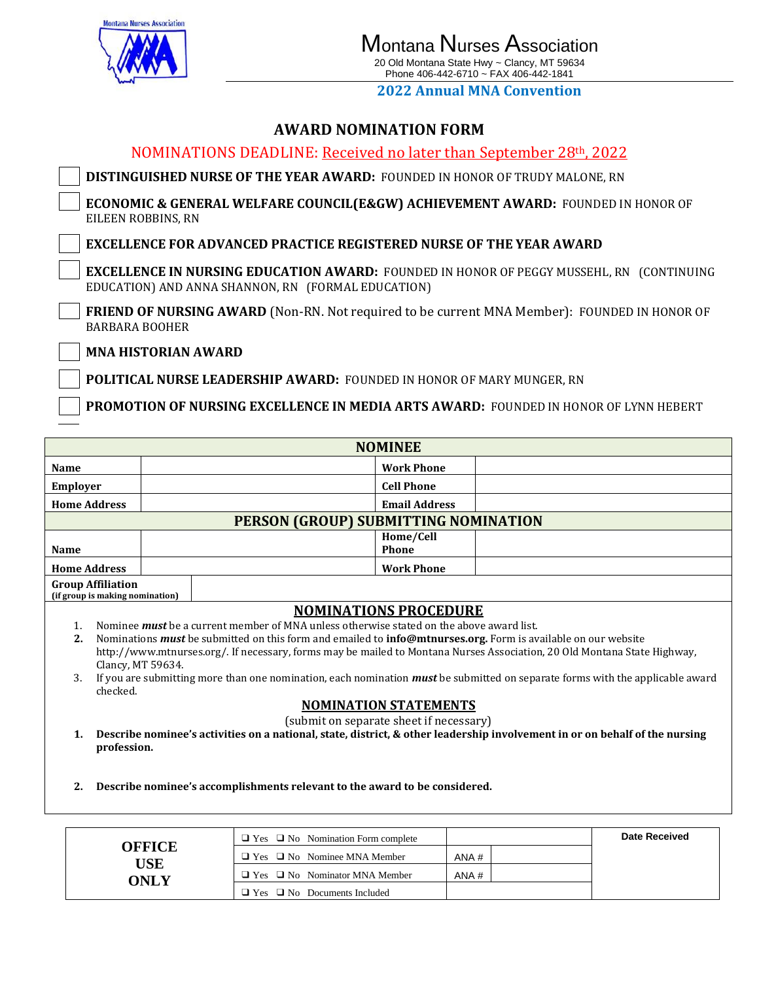

**ONLY**

# **2022 Annual MNA Convention**

# **AWARD NOMINATION FORM**

| ANI AMP NOPHRI AN HON LONG                                                                                                                            |  |  |  |  |  |  |  |
|-------------------------------------------------------------------------------------------------------------------------------------------------------|--|--|--|--|--|--|--|
| NOMINATIONS DEADLINE: Received no later than September 28th, 2022                                                                                     |  |  |  |  |  |  |  |
| DISTINGUISHED NURSE OF THE YEAR AWARD: FOUNDED IN HONOR OF TRUDY MALONE, RN                                                                           |  |  |  |  |  |  |  |
| <b>ECONOMIC &amp; GENERAL WELFARE COUNCIL(E&amp;GW) ACHIEVEMENT AWARD: FOUNDED IN HONOR OF</b><br>EILEEN ROBBINS, RN                                  |  |  |  |  |  |  |  |
| <b>EXCELLENCE FOR ADVANCED PRACTICE REGISTERED NURSE OF THE YEAR AWARD</b>                                                                            |  |  |  |  |  |  |  |
| <b>EXCELLENCE IN NURSING EDUCATION AWARD: FOUNDED IN HONOR OF PEGGY MUSSEHL, RN (CONTINUING</b><br>EDUCATION) AND ANNA SHANNON, RN (FORMAL EDUCATION) |  |  |  |  |  |  |  |
| <b>FRIEND OF NURSING AWARD</b> (Non-RN. Not required to be current MNA Member): FOUNDED IN HONOR OF<br><b>BARBARA BOOHER</b>                          |  |  |  |  |  |  |  |
| <b>MNA HISTORIAN AWARD</b>                                                                                                                            |  |  |  |  |  |  |  |
| POLITICAL NURSE LEADERSHIP AWARD: FOUNDED IN HONOR OF MARY MUNGER, RN                                                                                 |  |  |  |  |  |  |  |
|                                                                                                                                                       |  |  |  |  |  |  |  |

**PROMOTION OF NURSING EXCELLENCE IN MEDIA ARTS AWARD:** FOUNDED IN HONOR OF LYNN HEBERT

| <b>NOMINEE</b>                                                                                                                                                                                                                                                                                                                                                                                                                                                                                                                                                                                                                                                                                                                                                                                                |               |                                               |                           |  |                      |  |  |
|---------------------------------------------------------------------------------------------------------------------------------------------------------------------------------------------------------------------------------------------------------------------------------------------------------------------------------------------------------------------------------------------------------------------------------------------------------------------------------------------------------------------------------------------------------------------------------------------------------------------------------------------------------------------------------------------------------------------------------------------------------------------------------------------------------------|---------------|-----------------------------------------------|---------------------------|--|----------------------|--|--|
| <b>Name</b>                                                                                                                                                                                                                                                                                                                                                                                                                                                                                                                                                                                                                                                                                                                                                                                                   |               |                                               | <b>Work Phone</b>         |  |                      |  |  |
| <b>Employer</b>                                                                                                                                                                                                                                                                                                                                                                                                                                                                                                                                                                                                                                                                                                                                                                                               |               |                                               | <b>Cell Phone</b>         |  |                      |  |  |
| <b>Home Address</b>                                                                                                                                                                                                                                                                                                                                                                                                                                                                                                                                                                                                                                                                                                                                                                                           |               |                                               | <b>Email Address</b>      |  |                      |  |  |
| PERSON (GROUP) SUBMITTING NOMINATION                                                                                                                                                                                                                                                                                                                                                                                                                                                                                                                                                                                                                                                                                                                                                                          |               |                                               |                           |  |                      |  |  |
| <b>Name</b>                                                                                                                                                                                                                                                                                                                                                                                                                                                                                                                                                                                                                                                                                                                                                                                                   |               |                                               | Home/Cell<br><b>Phone</b> |  |                      |  |  |
| <b>Home Address</b>                                                                                                                                                                                                                                                                                                                                                                                                                                                                                                                                                                                                                                                                                                                                                                                           |               |                                               | <b>Work Phone</b>         |  |                      |  |  |
| <b>Group Affiliation</b><br>(if group is making nomination)                                                                                                                                                                                                                                                                                                                                                                                                                                                                                                                                                                                                                                                                                                                                                   |               |                                               |                           |  |                      |  |  |
| <b>NOMINATIONS PROCEDURE</b><br>Nominee <i>must</i> be a current member of MNA unless otherwise stated on the above award list.<br>1.<br>2.<br>Nominations <i>must</i> be submitted on this form and emailed to <b>info@mtnurses.org.</b> Form is available on our website<br>http://www.mtnurses.org/. If necessary, forms may be mailed to Montana Nurses Association, 20 Old Montana State Highway,<br>Clancy, MT 59634.<br>If you are submitting more than one nomination, each nomination must be submitted on separate forms with the applicable award<br>3.<br>checked.<br><b>NOMINATION STATEMENTS</b><br>(submit on separate sheet if necessary)<br>Describe nominee's activities on a national, state, district, & other leadership involvement in or on behalf of the nursing<br>1.<br>profession. |               |                                               |                           |  |                      |  |  |
| Describe nominee's accomplishments relevant to the award to be considered.<br>2.                                                                                                                                                                                                                                                                                                                                                                                                                                                                                                                                                                                                                                                                                                                              |               |                                               |                           |  |                      |  |  |
|                                                                                                                                                                                                                                                                                                                                                                                                                                                                                                                                                                                                                                                                                                                                                                                                               |               |                                               |                           |  |                      |  |  |
|                                                                                                                                                                                                                                                                                                                                                                                                                                                                                                                                                                                                                                                                                                                                                                                                               | <b>OFFICE</b> | $\Box$ Yes $\Box$ No Nomination Form complete |                           |  | <b>Date Received</b> |  |  |
|                                                                                                                                                                                                                                                                                                                                                                                                                                                                                                                                                                                                                                                                                                                                                                                                               | <b>USE</b>    | $\Box$ Yes $\Box$ No Nominee MNA Member       | ANA#                      |  |                      |  |  |
|                                                                                                                                                                                                                                                                                                                                                                                                                                                                                                                                                                                                                                                                                                                                                                                                               |               |                                               |                           |  |                      |  |  |

 $\Box$  Yes  $\Box$  No Nominator MNA Member  $\Box$  ANA #

❑ Yes ❑ No Documents Included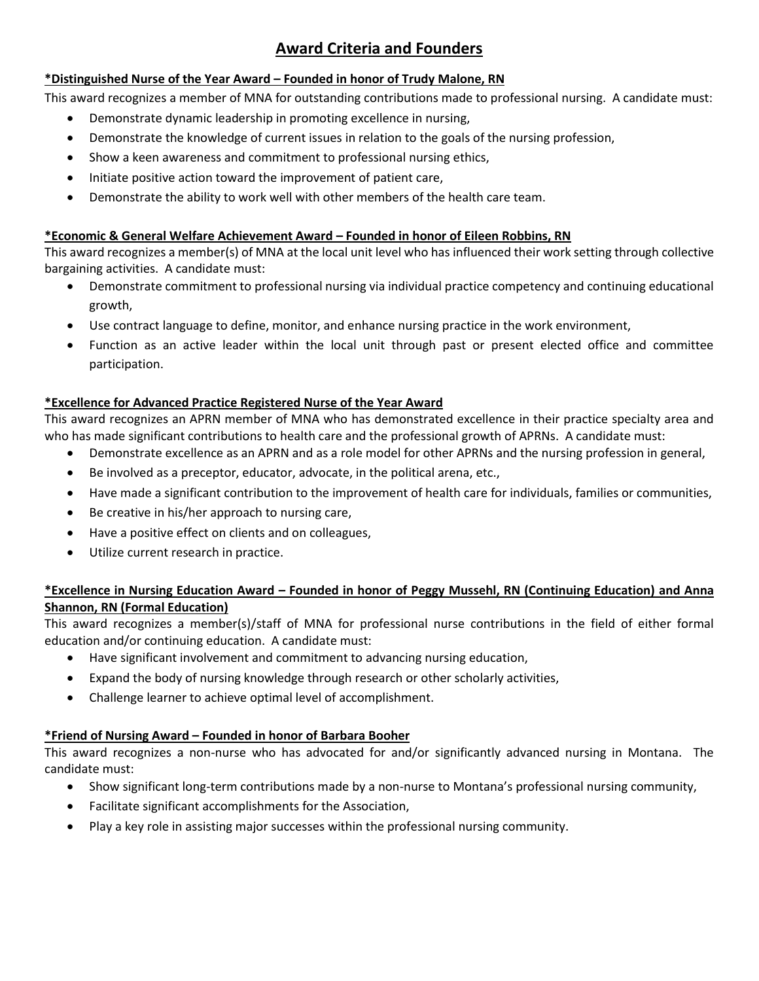# **Award Criteria and Founders**

## **\*Distinguished Nurse of the Year Award – Founded in honor of Trudy Malone, RN**

This award recognizes a member of MNA for outstanding contributions made to professional nursing. A candidate must:

- Demonstrate dynamic leadership in promoting excellence in nursing,
- Demonstrate the knowledge of current issues in relation to the goals of the nursing profession,
- Show a keen awareness and commitment to professional nursing ethics,
- Initiate positive action toward the improvement of patient care,
- Demonstrate the ability to work well with other members of the health care team.

## **\*Economic & General Welfare Achievement Award – Founded in honor of Eileen Robbins, RN**

This award recognizes a member(s) of MNA at the local unit level who has influenced their work setting through collective bargaining activities. A candidate must:

- Demonstrate commitment to professional nursing via individual practice competency and continuing educational growth,
- Use contract language to define, monitor, and enhance nursing practice in the work environment,
- Function as an active leader within the local unit through past or present elected office and committee participation.

# **\*Excellence for Advanced Practice Registered Nurse of the Year Award**

This award recognizes an APRN member of MNA who has demonstrated excellence in their practice specialty area and who has made significant contributions to health care and the professional growth of APRNs. A candidate must:

- Demonstrate excellence as an APRN and as a role model for other APRNs and the nursing profession in general,
- Be involved as a preceptor, educator, advocate, in the political arena, etc.,
- Have made a significant contribution to the improvement of health care for individuals, families or communities,
- Be creative in his/her approach to nursing care,
- Have a positive effect on clients and on colleagues,
- Utilize current research in practice.

## **\*Excellence in Nursing Education Award – Founded in honor of Peggy Mussehl, RN (Continuing Education) and Anna Shannon, RN (Formal Education)**

This award recognizes a member(s)/staff of MNA for professional nurse contributions in the field of either formal education and/or continuing education. A candidate must:

- Have significant involvement and commitment to advancing nursing education,
- Expand the body of nursing knowledge through research or other scholarly activities,
- Challenge learner to achieve optimal level of accomplishment.

# **\*Friend of Nursing Award – Founded in honor of Barbara Booher**

This award recognizes a non-nurse who has advocated for and/or significantly advanced nursing in Montana. The candidate must:

- Show significant long-term contributions made by a non-nurse to Montana's professional nursing community,
- Facilitate significant accomplishments for the Association,
- Play a key role in assisting major successes within the professional nursing community.